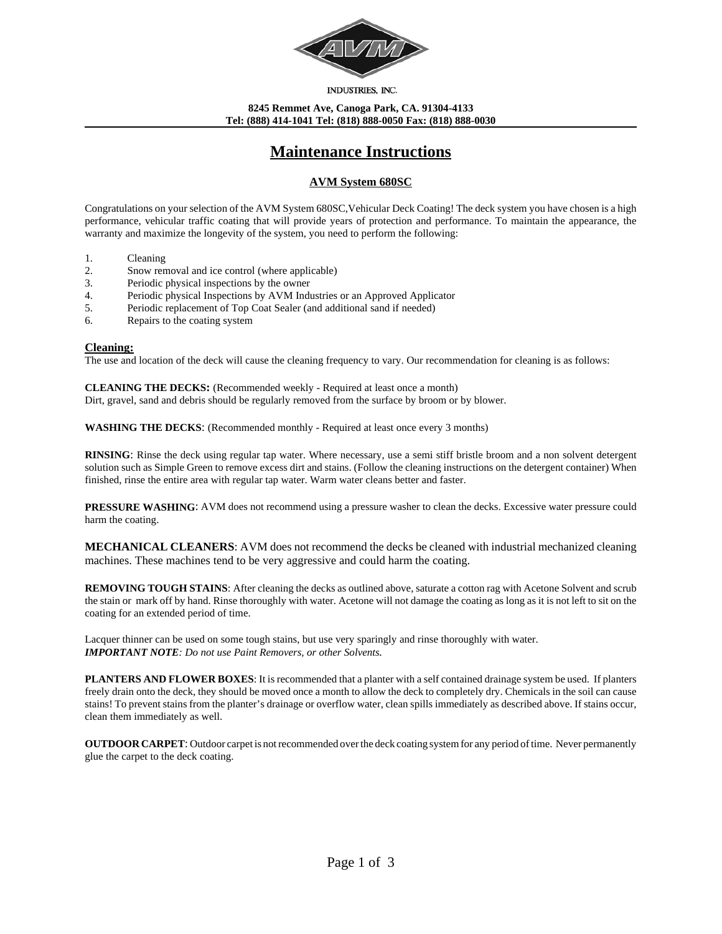

INDUSTRIES, INC.

**8245 Remmet Ave, Canoga Park, CA. 91304-4133 Tel: (888) 414-1041 Tel: (818) 888-0050 Fax: (818) 888-0030**

# **Maintenance Instructions**

## **AVM System 680SC**

Congratulations on your selection of the AVM System 680SC,Vehicular Deck Coating! The deck system you have chosen is a high performance, vehicular traffic coating that will provide years of protection and performance. To maintain the appearance, the warranty and maximize the longevity of the system, you need to perform the following:

- 1. Cleaning
- 2. Snow removal and ice control (where applicable)
- 3. Periodic physical inspections by the owner
- 4. Periodic physical Inspections by AVM Industries or an Approved Applicator
- 5. Periodic replacement of Top Coat Sealer (and additional sand if needed)
- 6. Repairs to the coating system

#### **Cleaning:**

The use and location of the deck will cause the cleaning frequency to vary. Our recommendation for cleaning is as follows:

**CLEANING THE DECKS:** (Recommended weekly - Required at least once a month)

Dirt, gravel, sand and debris should be regularly removed from the surface by broom or by blower.

**WASHING THE DECKS**: (Recommended monthly - Required at least once every 3 months)

**RINSING**: Rinse the deck using regular tap water. Where necessary, use a semi stiff bristle broom and a non solvent detergent solution such as Simple Green to remove excess dirt and stains. (Follow the cleaning instructions on the detergent container) When finished, rinse the entire area with regular tap water. Warm water cleans better and faster.

**PRESSURE WASHING:** AVM does not recommend using a pressure washer to clean the decks. Excessive water pressure could harm the coating.

**MECHANICAL CLEANERS**: AVM does not recommend the decks be cleaned with industrial mechanized cleaning machines. These machines tend to be very aggressive and could harm the coating.

**REMOVING TOUGH STAINS:** After cleaning the decks as outlined above, saturate a cotton rag with Acetone Solvent and scrub the stain or mark off by hand. Rinse thoroughly with water. Acetone will not damage the coating as long as it is not left to sit on the coating for an extended period of time.

Lacquer thinner can be used on some tough stains, but use very sparingly and rinse thoroughly with water. *IMPORTANT NOTE: Do not use Paint Removers, or other Solvents.*

**PLANTERS AND FLOWER BOXES**: It is recommended that a planter with a self contained drainage system be used. If planters freely drain onto the deck, they should be moved once a month to allow the deck to completely dry. Chemicals in the soil can cause stains! To prevent stains from the planter's drainage or overflow water, clean spills immediately as described above. If stains occur, clean them immediately as well.

**OUTDOOR CARPET**: Outdoor carpet is not recommended over the deck coating system for any period of time. Never permanently glue the carpet to the deck coating.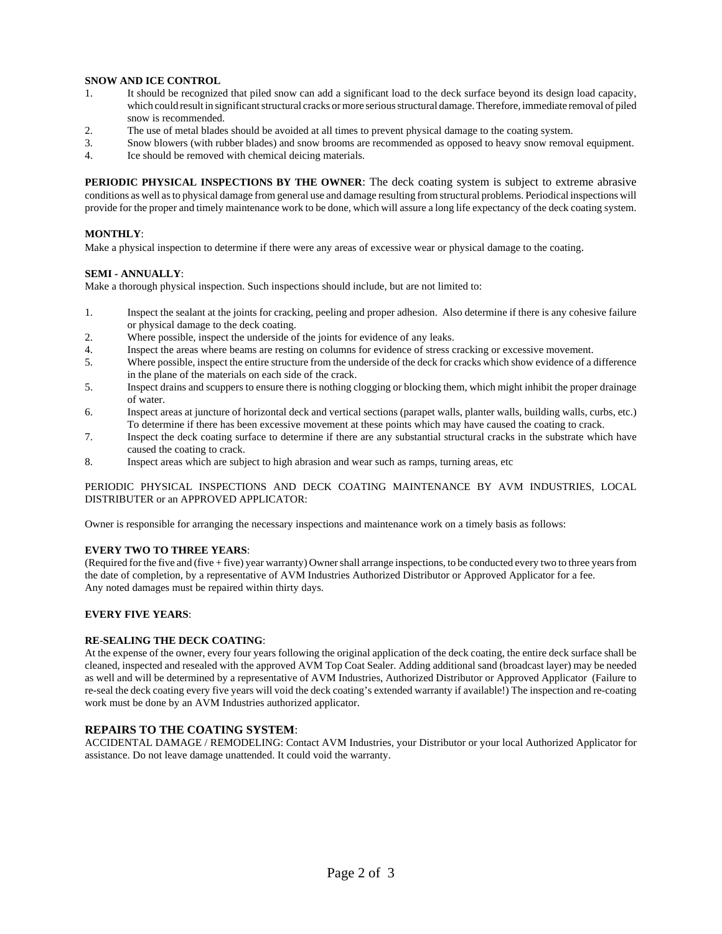#### **SNOW AND ICE CONTROL**

- 1. It should be recognized that piled snow can add a significant load to the deck surface beyond its design load capacity, which could result in significant structural cracks or more serious structural damage. Therefore, immediate removal of piled snow is recommended.
- 2. The use of metal blades should be avoided at all times to prevent physical damage to the coating system.
- 3. Snow blowers (with rubber blades) and snow brooms are recommended as opposed to heavy snow removal equipment.
- 4. Ice should be removed with chemical deicing materials.

**PERIODIC PHYSICAL INSPECTIONS BY THE OWNER**: The deck coating system is subject to extreme abrasive conditions as well as to physical damage from general use and damage resulting from structural problems. Periodical inspections will provide for the proper and timely maintenance work to be done, which will assure a long life expectancy of the deck coating system.

#### **MONTHLY**:

Make a physical inspection to determine if there were any areas of excessive wear or physical damage to the coating.

#### **SEMI - ANNUALLY**:

Make a thorough physical inspection. Such inspections should include, but are not limited to:

- 1. Inspect the sealant at the joints for cracking, peeling and proper adhesion. Also determine if there is any cohesive failure or physical damage to the deck coating.
- 2. Where possible, inspect the underside of the joints for evidence of any leaks.
- 4. Inspect the areas where beams are resting on columns for evidence of stress cracking or excessive movement.
- 5. Where possible, inspect the entire structure from the underside of the deck for cracks which show evidence of a difference in the plane of the materials on each side of the crack.
- 5. Inspect drains and scuppers to ensure there is nothing clogging or blocking them, which might inhibit the proper drainage of water.
- 6. Inspect areas at juncture of horizontal deck and vertical sections (parapet walls, planter walls, building walls, curbs, etc.) To determine if there has been excessive movement at these points which may have caused the coating to crack.
- 7. Inspect the deck coating surface to determine if there are any substantial structural cracks in the substrate which have caused the coating to crack.
- 8. Inspect areas which are subject to high abrasion and wear such as ramps, turning areas, etc

#### PERIODIC PHYSICAL INSPECTIONS AND DECK COATING MAINTENANCE BY AVM INDUSTRIES, LOCAL DISTRIBUTER or an APPROVED APPLICATOR:

Owner is responsible for arranging the necessary inspections and maintenance work on a timely basis as follows:

#### **EVERY TWO TO THREE YEARS**:

(Required for the five and (five + five) year warranty) Owner shall arrange inspections, to be conducted every two to three years from the date of completion, by a representative of AVM Industries Authorized Distributor or Approved Applicator for a fee. Any noted damages must be repaired within thirty days.

#### **EVERY FIVE YEARS**:

#### **RE-SEALING THE DECK COATING**:

At the expense of the owner, every four years following the original application of the deck coating, the entire deck surface shall be cleaned, inspected and resealed with the approved AVM Top Coat Sealer. Adding additional sand (broadcast layer) may be needed as well and will be determined by a representative of AVM Industries, Authorized Distributor or Approved Applicator (Failure to re-seal the deck coating every five years will void the deck coating's extended warranty if available!) The inspection and re-coating work must be done by an AVM Industries authorized applicator.

### **REPAIRS TO THE COATING SYSTEM**:

ACCIDENTAL DAMAGE / REMODELING: Contact AVM Industries, your Distributor or your local Authorized Applicator for assistance. Do not leave damage unattended. It could void the warranty.